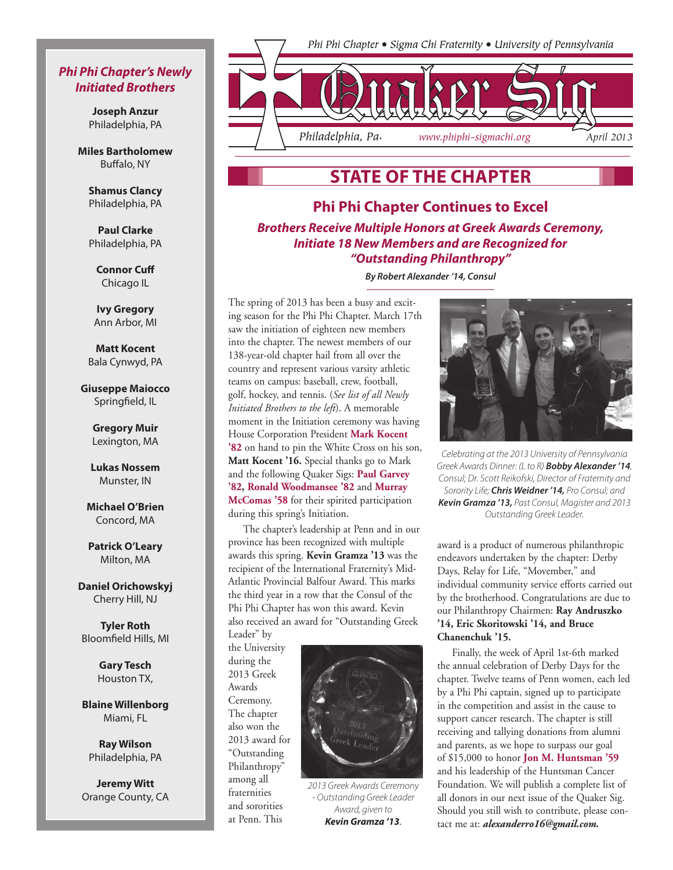### *Phi Phi Chapter's Newly Initiated Brothers*

**Joseph Anzur** Philadelphia, PA

**Miles Bartholomew**  Buffalo, NY

> **Shamus Clancy** Philadelphia, PA

> **Paul Clarke** Philadelphia, PA

> > **Connor Cuff** Chicago IL

**Ivy Gregory** Ann Arbor, MI

**Matt Kocent** Bala Cynwyd, PA

**Giuseppe Maiocco** Springfield, IL

> **Gregory Muir** Lexington, MA

**Lukas Nossem** Munster, IN

**Michael O'Brien** Concord, MA

**Patrick O'Leary** Milton, MA

**Daniel Orichowskyj** Cherry Hill, NJ

**Tyler Roth** Bloomfield Hills, MI

> **Gary Tesch** Houston TX,

**Blaine Willenborg** Miami, FL

**Ray Wilson** Philadelphia, PA

**Jeremy Witt** Orange County, CA



## **State of the Chapter**

## **Phi Phi Chapter Continues to Excel** *Brothers Receive Multiple Honors at Greek Awards Ceremony, Initiate 18 New Members and are Recognized for "Outstanding Philanthropy"*

*By Robert Alexander '14, Consul*

The spring of 2013 has been a busy and exciting season for the Phi Phi Chapter. March 17th saw the initiation of eighteen new members into the chapter. The newest members of our 138-year-old chapter hail from all over the country and represent various varsity athletic teams on campus: baseball, crew, football, golf, hockey, and tennis. (*See list of all Newly Initiated Brothers to the left*). A memorable moment in the Initiation ceremony was having House Corporation President **Mark Kocent '82** on hand to pin the White Cross on his son, **Matt Kocent '16.** Special thanks go to Mark and the following Quaker Sigs: **Paul Garvey '82, Ronald Woodmansee '82** and **Murray McComas '58** for their spirited participation during this spring's Initiation.

The chapter's leadership at Penn and in our province has been recognized with multiple awards this spring. **Kevin Gramza '13** was the recipient of the International Fraternity's Mid-Atlantic Provincial Balfour Award. This marks the third year in a row that the Consul of the Phi Phi Chapter has won this award. Kevin also received an award for "Outstanding Greek Leader" by

the University during the 2013 Greek Awards Ceremony. The chapter also won the 2013 award for "Outstanding Philanthropy" among all fraternities and sororities at Penn. This

*2013 Greek Awards Ceremony - Outstanding Greek Leader Award, given to Kevin Gramza '13.* 



*Celebrating at the 2013 University of Pennsylvania Greek Awards Dinner: (L to R) Bobby Alexander '14, Consul; Dr. Scott Reikofski, Director of Fraternity and Sorority Life; Chris Weidner '14, Pro Consul; and Kevin Gramza '13, Past Consul, Magister and 2013 Outstanding Greek Leader.*

award is a product of numerous philanthropic endeavors undertaken by the chapter: Derby Days, Relay for Life, "Movember," and individual community service efforts carried out by the brotherhood. Congratulations are due to our Philanthropy Chairmen: **Ray Andruszko '14, Eric Skoritowski '14, and Bruce Chanenchuk '15.** 

Finally, the week of April 1st-6th marked the annual celebration of Derby Days for the chapter. Twelve teams of Penn women, each led by a Phi Phi captain, signed up to participate in the competition and assist in the cause to support cancer research. The chapter is still receiving and tallying donations from alumni and parents, as we hope to surpass our goal of \$15,000 to honor **Jon M. Huntsman '59** and his leadership of the Huntsman Cancer Foundation. We will publish a complete list of all donors in our next issue of the Quaker Sig. Should you still wish to contribute, please contact me at: *alexanderro16@gmail.com.*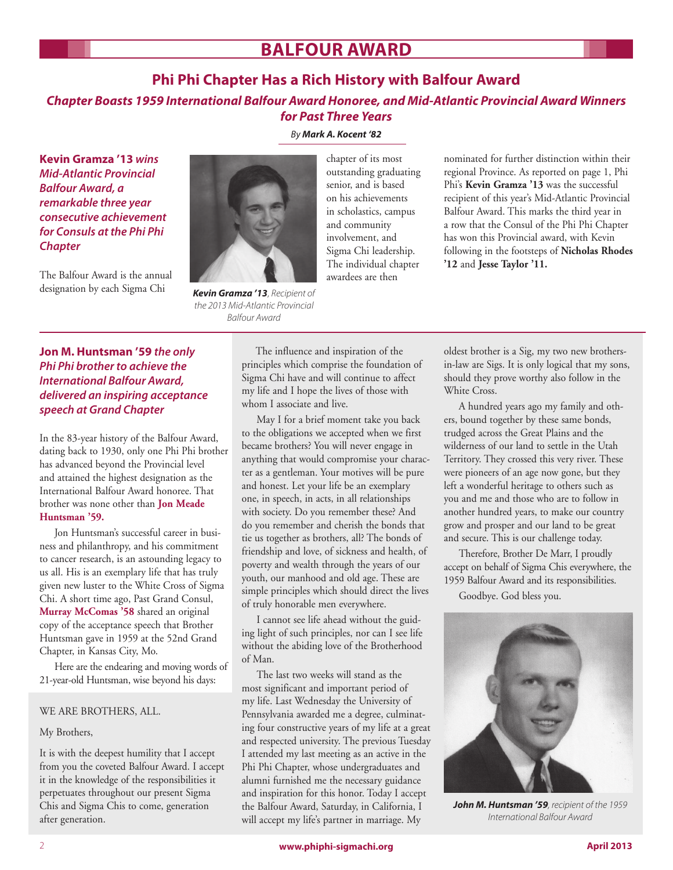# **Balfour award**

### **Phi Phi Chapter Has a Rich History with Balfour Award**

### *Chapter Boasts 1959 International Balfour Award Honoree, and Mid-Atlantic Provincial Award Winners for Past Three Years*

**Kevin Gramza '13** *wins Mid-Atlantic Provincial Balfour Award, a remarkable three year consecutive achievement for Consuls at the Phi Phi Chapter*

The Balfour Award is the annual designation by each Sigma Chi

### *By Mark A. Kocent '82*



*Kevin Gramza '13*, *Recipient of the 2013 Mid-Atlantic Provincial Balfour Award*

chapter of its most outstanding graduating senior, and is based on his achievements in scholastics, campus and community involvement, and Sigma Chi leadership. The individual chapter awardees are then

nominated for further distinction within their regional Province. As reported on page 1, Phi Phi's **Kevin Gramza '13** was the successful recipient of this year's Mid-Atlantic Provincial Balfour Award. This marks the third year in a row that the Consul of the Phi Phi Chapter has won this Provincial award, with Kevin following in the footsteps of **Nicholas Rhodes '12** and **Jesse Taylor '11.**

### **Jon M. Huntsman '59** *the only Phi Phi brother to achieve the International Balfour Award, delivered an inspiring acceptance speech at Grand Chapter*

In the 83-year history of the Balfour Award, dating back to 1930, only one Phi Phi brother has advanced beyond the Provincial level and attained the highest designation as the International Balfour Award honoree. That brother was none other than **Jon Meade Huntsman '59.**

Jon Huntsman's successful career in business and philanthropy, and his commitment to cancer research, is an astounding legacy to us all. His is an exemplary life that has truly given new luster to the White Cross of Sigma Chi. A short time ago, Past Grand Consul, **Murray McComas '58** shared an original copy of the acceptance speech that Brother Huntsman gave in 1959 at the 52nd Grand Chapter, in Kansas City, Mo.

Here are the endearing and moving words of 21-year-old Huntsman, wise beyond his days:

#### WE ARE BROTHERS, ALL.

#### My Brothers,

It is with the deepest humility that I accept from you the coveted Balfour Award. I accept it in the knowledge of the responsibilities it perpetuates throughout our present Sigma Chis and Sigma Chis to come, generation after generation.

 The influence and inspiration of the principles which comprise the foundation of Sigma Chi have and will continue to affect my life and I hope the lives of those with whom I associate and live.

May I for a brief moment take you back to the obligations we accepted when we first became brothers? You will never engage in anything that would compromise your character as a gentleman. Your motives will be pure and honest. Let your life be an exemplary one, in speech, in acts, in all relationships with society. Do you remember these? And do you remember and cherish the bonds that tie us together as brothers, all? The bonds of friendship and love, of sickness and health, of poverty and wealth through the years of our youth, our manhood and old age. These are simple principles which should direct the lives of truly honorable men everywhere.

I cannot see life ahead without the guiding light of such principles, nor can I see life without the abiding love of the Brotherhood of Man.

The last two weeks will stand as the most significant and important period of my life. Last Wednesday the University of Pennsylvania awarded me a degree, culminating four constructive years of my life at a great and respected university. The previous Tuesday I attended my last meeting as an active in the Phi Phi Chapter, whose undergraduates and alumni furnished me the necessary guidance and inspiration for this honor. Today I accept the Balfour Award, Saturday, in California, I will accept my life's partner in marriage. My

oldest brother is a Sig, my two new brothersin-law are Sigs. It is only logical that my sons, should they prove worthy also follow in the White Cross.

A hundred years ago my family and others, bound together by these same bonds, trudged across the Great Plains and the wilderness of our land to settle in the Utah Territory. They crossed this very river. These were pioneers of an age now gone, but they left a wonderful heritage to others such as you and me and those who are to follow in another hundred years, to make our country grow and prosper and our land to be great and secure. This is our challenge today.

Therefore, Brother De Marr, I proudly accept on behalf of Sigma Chis everywhere, the 1959 Balfour Award and its responsibilities.

Goodbye. God bless you.



*John M. Huntsman '59, recipient of the 1959 International Balfour Award*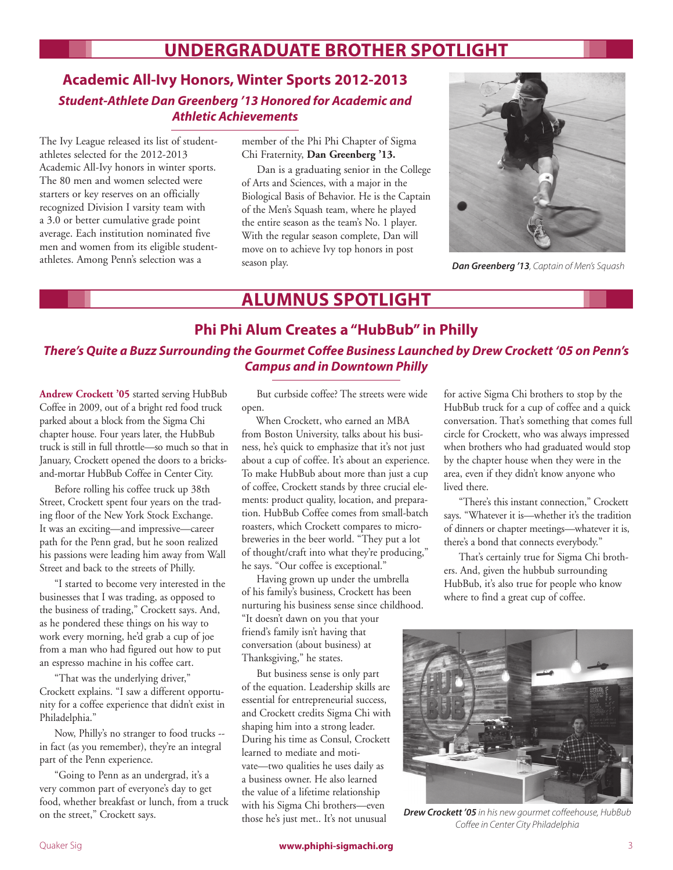# **UNDERGRADUATE BROTHER SPOTLIGHT**

## **Academic All-Ivy Honors, Winter Sports 2012-2013** *Student-Athlete Dan Greenberg '13 Honored for Academic and Athletic Achievements*

The Ivy League released its list of studentathletes selected for the 2012-2013 Academic All-Ivy honors in winter sports. The 80 men and women selected were starters or key reserves on an officially recognized Division I varsity team with a 3.0 or better cumulative grade point average. Each institution nominated five men and women from its eligible studentathletes. Among Penn's selection was a

member of the Phi Phi Chapter of Sigma Chi Fraternity, **Dan Greenberg '13.**

 Dan is a graduating senior in the College of Arts and Sciences, with a major in the Biological Basis of Behavior. He is the Captain of the Men's Squash team, where he played the entire season as the team's No. 1 player. With the regular season complete, Dan will move on to achieve Ivy top honors in post season play.



*Dan Greenberg '13, Captain of Men's Squash*

# **Alumnus Spotlight**

## **Phi Phi Alum Creates a "HubBub" in Philly** *There's Quite a Buzz Surrounding the Gourmet Coffee Business Launched by Drew Crockett '05 on Penn's Campus and in Downtown Philly*

**Andrew Crockett '05** started serving HubBub Coffee in 2009, out of a bright red food truck parked about a block from the Sigma Chi chapter house. Four years later, the HubBub truck is still in full throttle—so much so that in January, Crockett opened the doors to a bricksand-mortar HubBub Coffee in Center City.

Before rolling his coffee truck up 38th Street, Crockett spent four years on the trading floor of the New York Stock Exchange. It was an exciting—and impressive—career path for the Penn grad, but he soon realized his passions were leading him away from Wall Street and back to the streets of Philly.

"I started to become very interested in the businesses that I was trading, as opposed to the business of trading," Crockett says. And, as he pondered these things on his way to work every morning, he'd grab a cup of joe from a man who had figured out how to put an espresso machine in his coffee cart.

"That was the underlying driver," Crockett explains. "I saw a different opportunity for a coffee experience that didn't exist in Philadelphia."

Now, Philly's no stranger to food trucks - in fact (as you remember), they're an integral part of the Penn experience.

"Going to Penn as an undergrad, it's a very common part of everyone's day to get food, whether breakfast or lunch, from a truck on the street," Crockett says.

But curbside coffee? The streets were wide open.

 When Crockett, who earned an MBA from Boston University, talks about his business, he's quick to emphasize that it's not just about a cup of coffee. It's about an experience. To make HubBub about more than just a cup of coffee, Crockett stands by three crucial elements: product quality, location, and preparation. HubBub Coffee comes from small-batch roasters, which Crockett compares to microbreweries in the beer world. "They put a lot of thought/craft into what they're producing," he says. "Our coffee is exceptional."

Having grown up under the umbrella of his family's business, Crockett has been nurturing his business sense since childhood. "It doesn't dawn on you that your friend's family isn't having that conversation (about business) at Thanksgiving," he states.

But business sense is only part of the equation. Leadership skills are essential for entrepreneurial success, and Crockett credits Sigma Chi with shaping him into a strong leader. During his time as Consul, Crockett learned to mediate and motivate—two qualities he uses daily as a business owner. He also learned the value of a lifetime relationship with his Sigma Chi brothers—even those he's just met.. It's not unusual

for active Sigma Chi brothers to stop by the HubBub truck for a cup of coffee and a quick conversation. That's something that comes full circle for Crockett, who was always impressed when brothers who had graduated would stop by the chapter house when they were in the area, even if they didn't know anyone who lived there.

"There's this instant connection," Crockett says. "Whatever it is—whether it's the tradition of dinners or chapter meetings—whatever it is, there's a bond that connects everybody."

That's certainly true for Sigma Chi brothers. And, given the hubbub surrounding HubBub, it's also true for people who know where to find a great cup of coffee.



*Drew Crockett '05 in his new gourmet coffeehouse, HubBub Coffee in Center City Philadelphia*